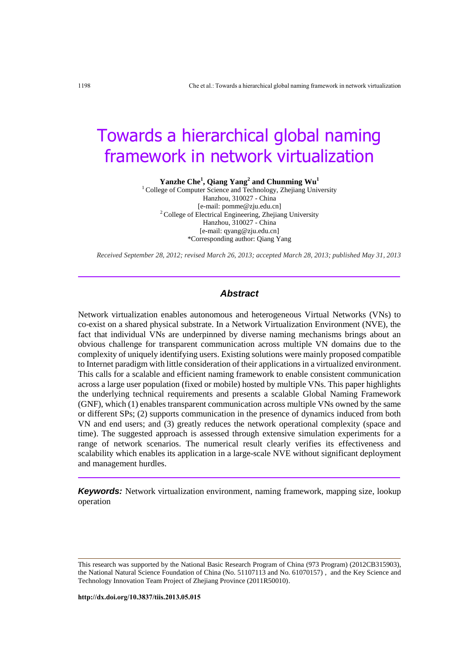# Towards a hierarchical global naming framework in network virtualization

**Yanzhe Che<sup>1</sup> , Qiang Yang<sup>2</sup> and Chunming Wu<sup>1</sup>**

<sup>1</sup> College of Computer Science and Technology, Zhejiang University Hanzhou, 310027 - China [e-mail: pomme@zju.edu.cn] <sup>2</sup> College of Electrical Engineering, Zhejiang University Hanzhou, 310027 - China [e-mail: qyang@zju.edu.cn] \*Corresponding author: Qiang Yang

*Received September 28, 2012; revised March 26, 2013; accepted March 28, 2013; published May 31, 2013*

# *Abstract*

Network virtualization enables autonomous and heterogeneous Virtual Networks (VNs) to co-exist on a shared physical substrate. In a Network Virtualization Environment (NVE), the fact that individual VNs are underpinned by diverse naming mechanisms brings about an obvious challenge for transparent communication across multiple VN domains due to the complexity of uniquely identifying users. Existing solutions were mainly proposed compatible to Internet paradigm with little consideration of their applications in a virtualized environment. This calls for a scalable and efficient naming framework to enable consistent communication across a large user population (fixed or mobile) hosted by multiple VNs. This paper highlights the underlying technical requirements and presents a scalable Global Naming Framework (GNF), which (1) enables transparent communication across multiple VNs owned by the same or different SPs; (2) supports communication in the presence of dynamics induced from both VN and end users; and (3) greatly reduces the network operational complexity (space and time). The suggested approach is assessed through extensive simulation experiments for a range of network scenarios. The numerical result clearly verifies its effectiveness and scalability which enables its application in a large-scale NVE without significant deployment and management hurdles.

*Keywords:* Network virtualization environment, naming framework, mapping size, lookup operation

This research was supported by the National Basic Research Program of China (973 Program) (2012CB315903), the National Natural Science Foundation of China (No. 51107113 and No. 61070157) , and the Key Science and Technology Innovation Team Project of Zhejiang Province (2011R50010).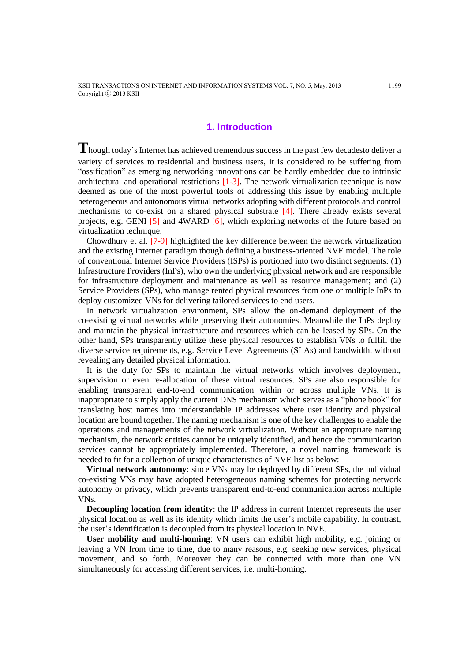# **1. Introduction**

**T**hough today's Internet has achieved tremendous success in the past few decadesto deliver a variety of services to residential and business users, it is considered to be suffering from "ossification" as emerging networking innovations can be hardly embedded due to intrinsic architectural and operational restrictions [1-3]. The network virtualization technique is now deemed as one of the most powerful tools of addressing this issue by enabling multiple heterogeneous and autonomous virtual networks adopting with different protocols and control mechanisms to co-exist on a shared physical substrate [4]. There already exists several projects, e.g. GENI  $\lceil 5 \rceil$  and 4WARD  $\lceil 6 \rceil$ , which exploring networks of the future based on virtualization technique.

Chowdhury et al. [7-9] highlighted the key difference between the network virtualization and the existing Internet paradigm though defining a business-oriented NVE model. The role of conventional Internet Service Providers (ISPs) is portioned into two distinct segments: (1) Infrastructure Providers (InPs), who own the underlying physical network and are responsible for infrastructure deployment and maintenance as well as resource management; and (2) Service Providers (SPs), who manage rented physical resources from one or multiple InPs to deploy customized VNs for delivering tailored services to end users.

In network virtualization environment, SPs allow the on-demand deployment of the co-existing virtual networks while preserving their autonomies. Meanwhile the InPs deploy and maintain the physical infrastructure and resources which can be leased by SPs. On the other hand, SPs transparently utilize these physical resources to establish VNs to fulfill the diverse service requirements, e.g. Service Level Agreements (SLAs) and bandwidth, without revealing any detailed physical information.

It is the duty for SPs to maintain the virtual networks which involves deployment, supervision or even re-allocation of these virtual resources. SPs are also responsible for enabling transparent end-to-end communication within or across multiple VNs. It is inappropriate to simply apply the current DNS mechanism which serves as a "phone book" for translating host names into understandable IP addresses where user identity and physical location are bound together. The naming mechanism is one of the key challenges to enable the operations and managements of the network virtualization. Without an appropriate naming mechanism, the network entities cannot be uniquely identified, and hence the communication services cannot be appropriately implemented. Therefore, a novel naming framework is needed to fit for a collection of unique characteristics of NVE list as below:

**Virtual network autonomy**: since VNs may be deployed by different SPs, the individual co-existing VNs may have adopted heterogeneous naming schemes for protecting network autonomy or privacy, which prevents transparent end-to-end communication across multiple VNs.

**Decoupling location from identity**: the IP address in current Internet represents the user physical location as well as its identity which limits the user's mobile capability. In contrast, the user's identification is decoupled from its physical location in NVE.

**User mobility and multi-homing**: VN users can exhibit high mobility, e.g. joining or leaving a VN from time to time, due to many reasons, e.g. seeking new services, physical movement, and so forth. Moreover they can be connected with more than one VN simultaneously for accessing different services, i.e. multi-homing.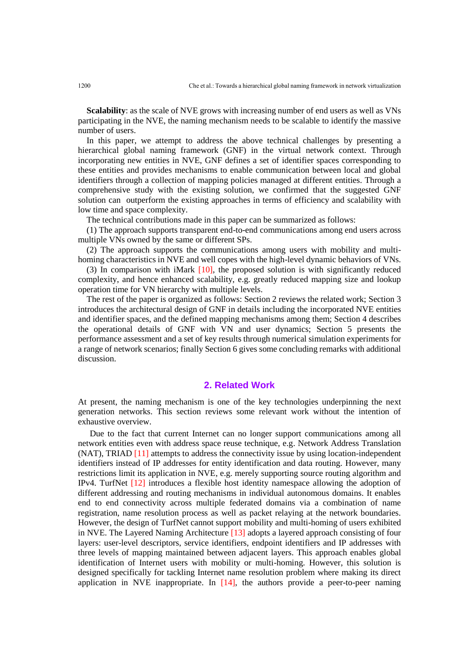**Scalability**: as the scale of NVE grows with increasing number of end users as well as VNs participating in the NVE, the naming mechanism needs to be scalable to identify the massive number of users.

In this paper, we attempt to address the above technical challenges by presenting a hierarchical global naming framework (GNF) in the virtual network context. Through incorporating new entities in NVE, GNF defines a set of identifier spaces corresponding to these entities and provides mechanisms to enable communication between local and global identifiers through a collection of mapping policies managed at different entities. Through a comprehensive study with the existing solution, we confirmed that the suggested GNF solution can outperform the existing approaches in terms of efficiency and scalability with low time and space complexity.

The technical contributions made in this paper can be summarized as follows:

(1) The approach supports transparent end-to-end communications among end users across multiple VNs owned by the same or different SPs.

(2) The approach supports the communications among users with mobility and multihoming characteristics in NVE and well copes with the high-level dynamic behaviors of VNs.

(3) In comparison with iMark [10], the proposed solution is with significantly reduced complexity, and hence enhanced scalability, e.g. greatly reduced mapping size and lookup operation time for VN hierarchy with multiple levels.

The rest of the paper is organized as follows: Section 2 reviews the related work; Section 3 introduces the architectural design of GNF in details including the incorporated NVE entities and identifier spaces, and the defined mapping mechanisms among them; Section 4 describes the operational details of GNF with VN and user dynamics; Section 5 presents the performance assessment and a set of key results through numerical simulation experiments for a range of network scenarios; finally Section 6 gives some concluding remarks with additional discussion.

# **2. Related Work**

At present, the naming mechanism is one of the key technologies underpinning the next generation networks. This section reviews some relevant work without the intention of exhaustive overview.

Due to the fact that current Internet can no longer support communications among all network entities even with address space reuse technique, e.g. Network Address Translation (NAT), TRIAD [11] attempts to address the connectivity issue by using location-independent identifiers instead of IP addresses for entity identification and data routing. However, many restrictions limit its application in NVE, e.g. merely supporting source routing algorithm and IPv4. TurfNet [12] introduces a flexible host identity namespace allowing the adoption of different addressing and routing mechanisms in individual autonomous domains. It enables end to end connectivity across multiple federated domains via a combination of name registration, name resolution process as well as packet relaying at the network boundaries. However, the design of TurfNet cannot support mobility and multi-homing of users exhibited in NVE. The Layered Naming Architecture [13] adopts a layered approach consisting of four layers: user-level descriptors, service identifiers, endpoint identifiers and IP addresses with three levels of mapping maintained between adjacent layers. This approach enables global identification of Internet users with mobility or multi-homing. However, this solution is designed specifically for tackling Internet name resolution problem where making its direct application in NVE inappropriate. In  $[14]$ , the authors provide a peer-to-peer naming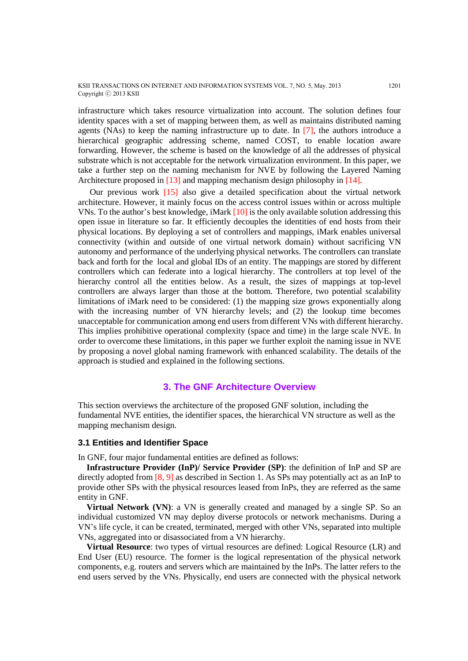infrastructure which takes resource virtualization into account. The solution defines four identity spaces with a set of mapping between them, as well as maintains distributed naming agents (NAs) to keep the naming infrastructure up to date. In  $[7]$ , the authors introduce a hierarchical geographic addressing scheme, named COST, to enable location aware forwarding. However, the scheme is based on the knowledge of all the addresses of physical substrate which is not acceptable for the network virtualization environment. In this paper, we take a further step on the naming mechanism for NVE by following the Layered Naming Architecture proposed in [13] and mapping mechanism design philosophy in [14].

Our previous work [15] also give a detailed specification about the virtual network architecture. However, it mainly focus on the access control issues within or across multiple VNs. To the author's best knowledge, iMark  $[10]$  is the only available solution addressing this open issue in literature so far. It efficiently decouples the identities of end hosts from their physical locations. By deploying a set of controllers and mappings, iMark enables universal connectivity (within and outside of one virtual network domain) without sacrificing VN autonomy and performance of the underlying physical networks. The controllers can translate back and forth for the local and global IDs of an entity. The mappings are stored by different controllers which can federate into a logical hierarchy. The controllers at top level of the hierarchy control all the entities below. As a result, the sizes of mappings at top-level controllers are always larger than those at the bottom. Therefore, two potential scalability limitations of iMark need to be considered: (1) the mapping size grows exponentially along with the increasing number of VN hierarchy levels; and (2) the lookup time becomes unacceptable for communication among end users from different VNs with different hierarchy. This implies prohibitive operational complexity (space and time) in the large scale NVE. In order to overcome these limitations, in this paper we further exploit the naming issue in NVE by proposing a novel global naming framework with enhanced scalability. The details of the approach is studied and explained in the following sections.

# **3. The GNF Architecture Overview**

This section overviews the architecture of the proposed GNF solution, including the fundamental NVE entities, the identifier spaces, the hierarchical VN structure as well as the mapping mechanism design.

## **3.1 Entities and Identifier Space**

In GNF, four major fundamental entities are defined as follows:

**Infrastructure Provider (InP)/ Service Provider (SP)**: the definition of InP and SP are directly adopted from [8, 9] as described in Section 1. As SPs may potentially act as an InP to provide other SPs with the physical resources leased from InPs, they are referred as the same entity in GNF.

**Virtual Network (VN)**: a VN is generally created and managed by a single SP. So an individual customized VN may deploy diverse protocols or network mechanisms. During a VN's life cycle, it can be created, terminated, merged with other VNs, separated into multiple VNs, aggregated into or disassociated from a VN hierarchy.

**Virtual Resource**: two types of virtual resources are defined: Logical Resource (LR) and End User (EU) resource. The former is the logical representation of the physical network components, e.g. routers and servers which are maintained by the InPs. The latter refers to the end users served by the VNs. Physically, end users are connected with the physical network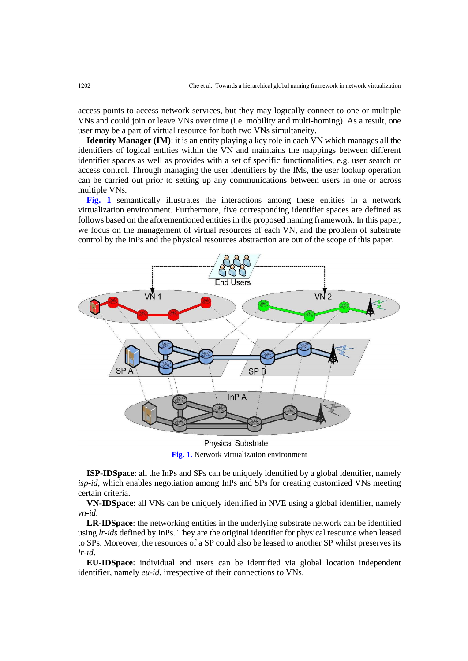access points to access network services, but they may logically connect to one or multiple VNs and could join or leave VNs over time (i.e. mobility and multi-homing). As a result, one user may be a part of virtual resource for both two VNs simultaneity.

**Identity Manager (IM)**: it is an entity playing a key role in each VN which manages all the identifiers of logical entities within the VN and maintains the mappings between different identifier spaces as well as provides with a set of specific functionalities, e.g. user search or access control. Through managing the user identifiers by the IMs, the user lookup operation can be carried out prior to setting up any communications between users in one or across multiple VNs.

**Fig. 1** semantically illustrates the interactions among these entities in a network virtualization environment. Furthermore, five corresponding identifier spaces are defined as follows based on the aforementioned entities in the proposed naming framework. In this paper, we focus on the management of virtual resources of each VN, and the problem of substrate control by the InPs and the physical resources abstraction are out of the scope of this paper.



**Physical Substrate Fig. 1.** Network virtualization environment

**ISP-IDSpace**: all the InPs and SPs can be uniquely identified by a global identifier, namely *isp-id*, which enables negotiation among InPs and SPs for creating customized VNs meeting certain criteria.

**VN-IDSpace**: all VNs can be uniquely identified in NVE using a global identifier, namely *vn-id*.

**LR-IDSpace**: the networking entities in the underlying substrate network can be identified using *lr-ids* defined by InPs. They are the original identifier for physical resource when leased to SPs. Moreover, the resources of a SP could also be leased to another SP whilst preserves its *lr-id*.

**EU-IDSpace**: individual end users can be identified via global location independent identifier, namely *eu-id*, irrespective of their connections to VNs.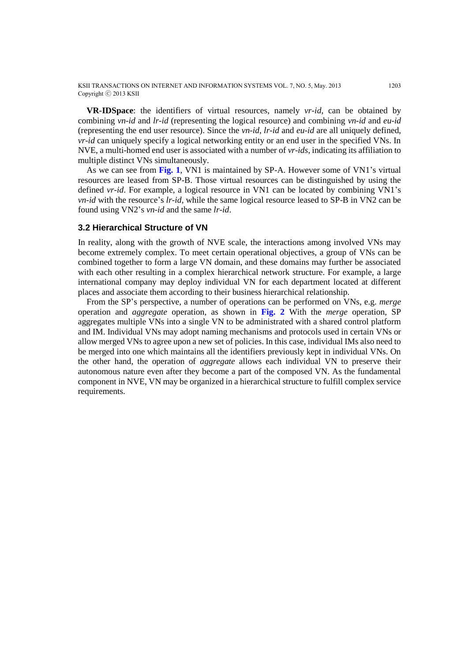KSII TRANSACTIONS ON INTERNET AND INFORMATION SYSTEMS VOL. 7, NO. 5, May. 2013 1203 Copyright ⓒ 2013 KSII

**VR-IDSpace**: the identifiers of virtual resources, namely *vr-id*, can be obtained by combining *vn-id* and *lr-id* (representing the logical resource) and combining *vn-id* and *eu-id* (representing the end user resource). Since the *vn-id*, *lr-id* and *eu-id* are all uniquely defined, *vr-id* can uniquely specify a logical networking entity or an end user in the specified VNs. In NVE, a multi-homed end user is associated with a number of *vr-ids*, indicating its affiliation to multiple distinct VNs simultaneously.

As we can see from **Fig. 1**, VN1 is maintained by SP-A. However some of VN1's virtual resources are leased from SP-B. Those virtual resources can be distinguished by using the defined *vr-id*. For example, a logical resource in VN1 can be located by combining VN1's *vn-id* with the resource's *lr-id,* while the same logical resource leased to SP-B in VN2 can be found using VN2's *vn-id* and the same *lr-id*.

# **3.2 Hierarchical Structure of VN**

In reality, along with the growth of NVE scale, the interactions among involved VNs may become extremely complex. To meet certain operational objectives, a group of VNs can be combined together to form a large VN domain, and these domains may further be associated with each other resulting in a complex hierarchical network structure. For example, a large international company may deploy individual VN for each department located at different places and associate them according to their business hierarchical relationship.

From the SP's perspective, a number of operations can be performed on VNs, e.g. *merge* operation and *aggregate* operation, as shown in **Fig. 2** With the *merge* operation, SP aggregates multiple VNs into a single VN to be administrated with a shared control platform and IM. Individual VNs may adopt naming mechanisms and protocols used in certain VNs or allow merged VNs to agree upon a new set of policies. In this case, individual IMs also need to be merged into one which maintains all the identifiers previously kept in individual VNs. On the other hand, the operation of *aggregate* allows each individual VN to preserve their autonomous nature even after they become a part of the composed VN. As the fundamental component in NVE, VN may be organized in a hierarchical structure to fulfill complex service requirements.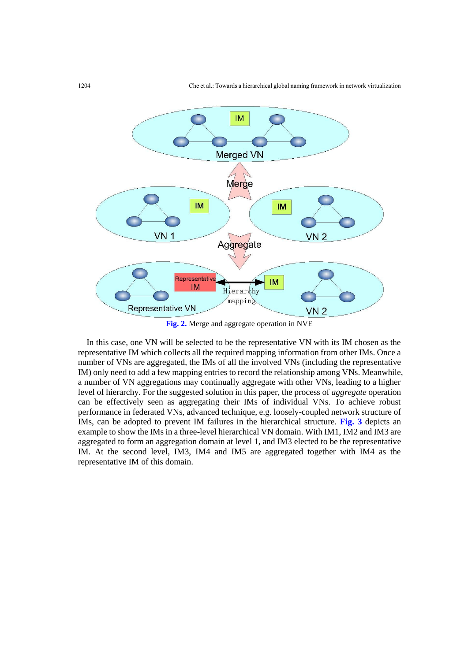

**Fig. 2.** Merge and aggregate operation in NVE

In this case, one VN will be selected to be the representative VN with its IM chosen as the representative IM which collects all the required mapping information from other IMs. Once a number of VNs are aggregated, the IMs of all the involved VNs (including the representative IM) only need to add a few mapping entries to record the relationship among VNs. Meanwhile, a number of VN aggregations may continually aggregate with other VNs, leading to a higher level of hierarchy. For the suggested solution in this paper, the process of *aggregate* operation can be effectively seen as aggregating their IMs of individual VNs. To achieve robust performance in federated VNs, advanced technique, e.g. loosely-coupled network structure of IMs, can be adopted to prevent IM failures in the hierarchical structure. **Fig. 3** depicts an example to show the IMs in a three-level hierarchical VN domain. With IM1, IM2 and IM3 are aggregated to form an aggregation domain at level 1, and IM3 elected to be the representative IM. At the second level, IM3, IM4 and IM5 are aggregated together with IM4 as the representative IM of this domain.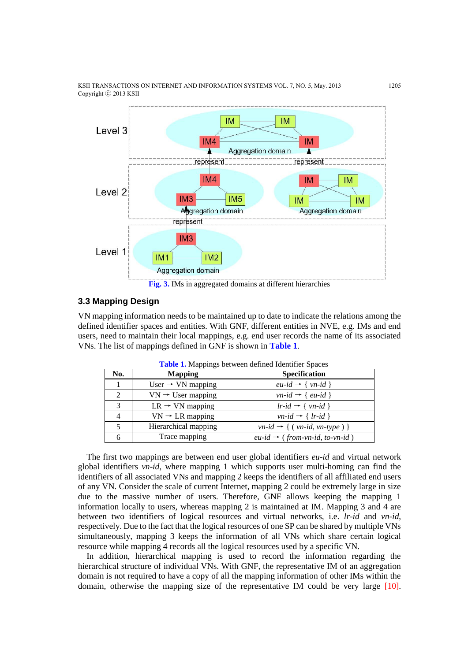KSII TRANSACTIONS ON INTERNET AND INFORMATION SYSTEMS VOL. 7, NO. 5, May. 2013 1205 Copyright ⓒ 2013 KSII



## **3.3 Mapping Design**

VN mapping information needs to be maintained up to date to indicate the relations among the defined identifier spaces and entities. With GNF, different entities in NVE, e.g. IMs and end users, need to maintain their local mappings, e.g. end user records the name of its associated VNs. The list of mappings defined in GNF is shown in **Table 1**.

| No.           | <b>Mapping</b>                | <b>Specification</b>                                |
|---------------|-------------------------------|-----------------------------------------------------|
|               | User $\rightarrow$ VN mapping | $eu$ -id $\rightarrow \{ vn$ -id $\}$               |
| $\mathcal{D}$ | $VN \rightarrow User mapping$ | $vn$ -id $\rightarrow$ { eu-id }                    |
| $\mathbf{R}$  | $LR \rightarrow VN$ mapping   | $lr$ -id $\rightarrow$ { $vn$ -id }                 |
|               | $VN \rightarrow LR$ mapping   | $vn-id \rightarrow \{lr-id\}$                       |
|               | Hierarchical mapping          | $vn$ -id $\rightarrow$ { ( $vn$ -id, $vn$ -type ) } |
| h             | Trace mapping                 | $eu$ -id $\rightarrow$ (from-vn-id, to-vn-id)       |

**Table 1.** Mappings between defined Identifier Spaces

The first two mappings are between end user global identifiers *eu-id* and virtual network global identifiers *vn-id*, where mapping 1 which supports user multi-homing can find the identifiers of all associated VNs and mapping 2 keeps the identifiers of all affiliated end users of any VN. Consider the scale of current Internet, mapping 2 could be extremely large in size due to the massive number of users. Therefore, GNF allows keeping the mapping 1 information locally to users, whereas mapping 2 is maintained at IM. Mapping 3 and 4 are between two identifiers of logical resources and virtual networks, i.e. *lr-id* and *vn-id*, respectively. Due to the fact that the logical resources of one SP can be shared by multiple VNs simultaneously, mapping 3 keeps the information of all VNs which share certain logical resource while mapping 4 records all the logical resources used by a specific VN.

In addition, hierarchical mapping is used to record the information regarding the hierarchical structure of individual VNs. With GNF, the representative IM of an aggregation domain is not required to have a copy of all the mapping information of other IMs within the domain, otherwise the mapping size of the representative IM could be very large [10].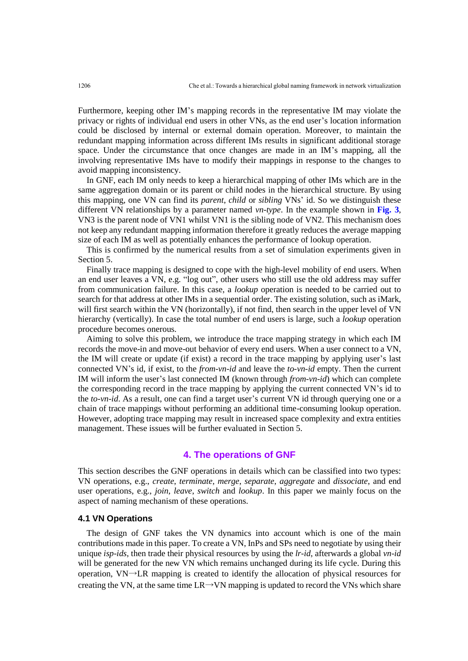Furthermore, keeping other IM's mapping records in the representative IM may violate the privacy or rights of individual end users in other VNs, as the end user's location information could be disclosed by internal or external domain operation. Moreover, to maintain the redundant mapping information across different IMs results in significant additional storage space. Under the circumstance that once changes are made in an IM's mapping, all the involving representative IMs have to modify their mappings in response to the changes to avoid mapping inconsistency.

In GNF, each IM only needs to keep a hierarchical mapping of other IMs which are in the same aggregation domain or its parent or child nodes in the hierarchical structure. By using this mapping, one VN can find its *parent*, *child* or *sibling* VNs' id. So we distinguish these different VN relationships by a parameter named *vn-type*. In the example shown in **Fig. 3**, VN3 is the parent node of VN1 whilst VN1 is the sibling node of VN2. This mechanism does not keep any redundant mapping information therefore it greatly reduces the average mapping size of each IM as well as potentially enhances the performance of lookup operation.

This is confirmed by the numerical results from a set of simulation experiments given in Section 5.

Finally trace mapping is designed to cope with the high-level mobility of end users. When an end user leaves a VN, e.g. "log out", other users who still use the old address may suffer from communication failure. In this case, a *lookup* operation is needed to be carried out to search for that address at other IMs in a sequential order. The existing solution, such as iMark, will first search within the VN (horizontally), if not find, then search in the upper level of VN hierarchy (vertically). In case the total number of end users is large, such a *lookup* operation procedure becomes onerous.

Aiming to solve this problem, we introduce the trace mapping strategy in which each IM records the move-in and move-out behavior of every end users. When a user connect to a VN, the IM will create or update (if exist) a record in the trace mapping by applying user's last connected VN's id, if exist, to the *from-vn-id* and leave the *to-vn-id* empty. Then the current IM will inform the user's last connected IM (known through *from-vn-id*) which can complete the corresponding record in the trace mapping by applying the current connected VN's id to the *to-vn-id*. As a result, one can find a target user's current VN id through querying one or a chain of trace mappings without performing an additional time-consuming lookup operation. However, adopting trace mapping may result in increased space complexity and extra entities management. These issues will be further evaluated in Section 5.

# **4. The operations of GNF**

This section describes the GNF operations in details which can be classified into two types: VN operations, e.g., *create*, *terminate*, *merge*, *separate*, *aggregate* and *dissociate*, and end user operations, e.g., *join*, *leave*, *switch* and *lookup*. In this paper we mainly focus on the aspect of naming mechanism of these operations.

# **4.1 VN Operations**

The design of GNF takes the VN dynamics into account which is one of the main contributions made in this paper. To create a VN, InPs and SPs need to negotiate by using their unique *isp-ids*, then trade their physical resources by using the *lr-id*, afterwards a global *vn-id* will be generated for the new VN which remains unchanged during its life cycle. During this operation, VN→LR mapping is created to identify the allocation of physical resources for creating the VN, at the same time  $LR \rightarrow VN$  mapping is updated to record the VNs which share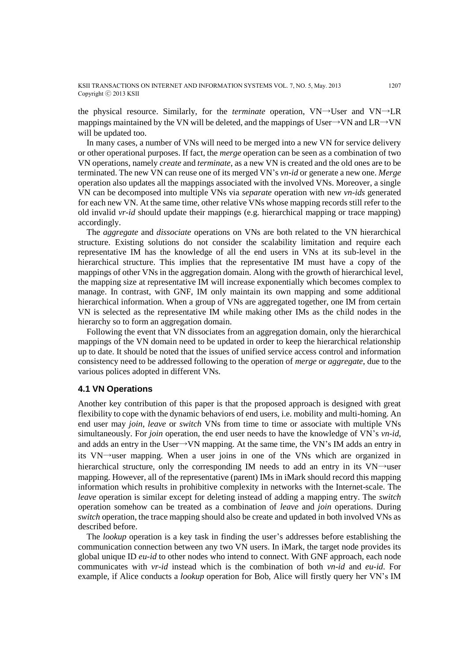KSII TRANSACTIONS ON INTERNET AND INFORMATION SYSTEMS VOL. 7, NO. 5, May. 2013 1207 Copyright ⓒ 2013 KSII

the physical resource. Similarly, for the *terminate* operation, VN→User and VN→LR mappings maintained by the VN will be deleted, and the mappings of User→VN and LR→VN will be updated too.

In many cases, a number of VNs will need to be merged into a new VN for service delivery or other operational purposes. If fact, the *merge* operation can be seen as a combination of two VN operations, namely *create* and *terminate*, as a new VN is created and the old ones are to be terminated. The new VN can reuse one of its merged VN's *vn-id* or generate a new one. *Merge* operation also updates all the mappings associated with the involved VNs. Moreover, a single VN can be decomposed into multiple VNs via *separate* operation with new *vn-ids* generated for each new VN. At the same time, other relative VNs whose mapping records still refer to the old invalid *vr-id* should update their mappings (e.g. hierarchical mapping or trace mapping) accordingly.

The *aggregate* and *dissociate* operations on VNs are both related to the VN hierarchical structure. Existing solutions do not consider the scalability limitation and require each representative IM has the knowledge of all the end users in VNs at its sub-level in the hierarchical structure. This implies that the representative IM must have a copy of the mappings of other VNs in the aggregation domain. Along with the growth of hierarchical level, the mapping size at representative IM will increase exponentially which becomes complex to manage. In contrast, with GNF, IM only maintain its own mapping and some additional hierarchical information. When a group of VNs are aggregated together, one IM from certain VN is selected as the representative IM while making other IMs as the child nodes in the hierarchy so to form an aggregation domain.

Following the event that VN dissociates from an aggregation domain, only the hierarchical mappings of the VN domain need to be updated in order to keep the hierarchical relationship up to date. It should be noted that the issues of unified service access control and information consistency need to be addressed following to the operation of *merge* or *aggregate*, due to the various polices adopted in different VNs.

#### **4.1 VN Operations**

Another key contribution of this paper is that the proposed approach is designed with great flexibility to cope with the dynamic behaviors of end users, i.e. mobility and multi-homing. An end user may *join*, *leave* or *switch* VNs from time to time or associate with multiple VNs simultaneously. For *join* operation, the end user needs to have the knowledge of VN's *vn-id*, and adds an entry in the User→VN mapping. At the same time, the VN's IM adds an entry in its VN→user mapping. When a user joins in one of the VNs which are organized in hierarchical structure, only the corresponding IM needs to add an entry in its VN→user mapping. However, all of the representative (parent) IMs in iMark should record this mapping information which results in prohibitive complexity in networks with the Internet-scale. The *leave* operation is similar except for deleting instead of adding a mapping entry. The *switch* operation somehow can be treated as a combination of *leave* and *join* operations. During *switch* operation, the trace mapping should also be create and updated in both involved VNs as described before.

The *lookup* operation is a key task in finding the user's addresses before establishing the communication connection between any two VN users. In iMark, the target node provides its global unique ID *eu-id* to other nodes who intend to connect. With GNF approach, each node communicates with *vr-id* instead which is the combination of both *vn-id* and *eu-id*. For example, if Alice conducts a *lookup* operation for Bob, Alice will firstly query her VN's IM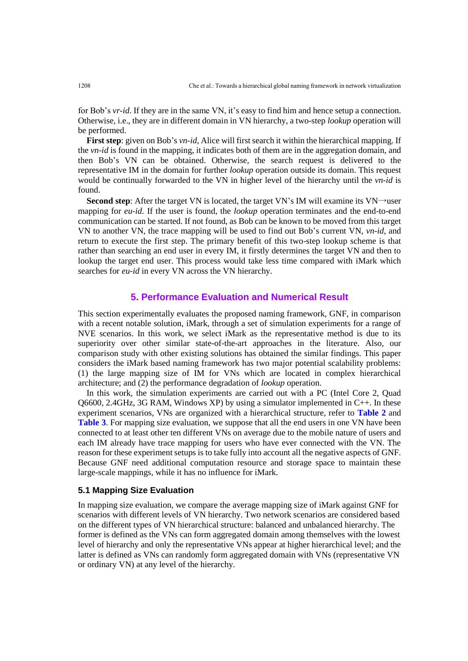for Bob's *vr-id*. If they are in the same VN, it's easy to find him and hence setup a connection. Otherwise, i.e., they are in different domain in VN hierarchy, a two-step *lookup* operation will be performed.

**First step**: given on Bob's *vn-id*, Alice will first search it within the hierarchical mapping. If the *vn-id* is found in the mapping, it indicates both of them are in the aggregation domain, and then Bob's VN can be obtained. Otherwise, the search request is delivered to the representative IM in the domain for further *lookup* operation outside its domain. This request would be continually forwarded to the VN in higher level of the hierarchy until the *vn-id* is found.

Second step: After the target VN is located, the target VN's IM will examine its VN→user mapping for *eu-id*. If the user is found, the *lookup* operation terminates and the end-to-end communication can be started. If not found, as Bob can be known to be moved from this target VN to another VN, the trace mapping will be used to find out Bob's current VN, *vn-id*, and return to execute the first step. The primary benefit of this two-step lookup scheme is that rather than searching an end user in every IM, it firstly determines the target VN and then to lookup the target end user. This process would take less time compared with iMark which searches for *eu-id* in every VN across the VN hierarchy.

# **5. Performance Evaluation and Numerical Result**

This section experimentally evaluates the proposed naming framework, GNF, in comparison with a recent notable solution, iMark, through a set of simulation experiments for a range of NVE scenarios. In this work, we select iMark as the representative method is due to its superiority over other similar state-of-the-art approaches in the literature. Also, our comparison study with other existing solutions has obtained the similar findings. This paper considers the iMark based naming framework has two major potential scalability problems: (1) the large mapping size of IM for VNs which are located in complex hierarchical architecture; and (2) the performance degradation of *lookup* operation.

In this work, the simulation experiments are carried out with a PC (Intel Core 2, Quad Q6600, 2.4GHz, 3G RAM, Windows XP) by using a simulator implemented in C++. In these experiment scenarios, VNs are organized with a hierarchical structure, refer to **Table 2** and **Table 3**. For mapping size evaluation, we suppose that all the end users in one VN have been connected to at least other ten different VNs on average due to the mobile nature of users and each IM already have trace mapping for users who have ever connected with the VN. The reason for these experiment setups is to take fully into account all the negative aspects of GNF. Because GNF need additional computation resource and storage space to maintain these large-scale mappings, while it has no influence for iMark.

## **5.1 Mapping Size Evaluation**

In mapping size evaluation, we compare the average mapping size of iMark against GNF for scenarios with different levels of VN hierarchy. Two network scenarios are considered based on the different types of VN hierarchical structure: balanced and unbalanced hierarchy. The former is defined as the VNs can form aggregated domain among themselves with the lowest level of hierarchy and only the representative VNs appear at higher hierarchical level; and the latter is defined as VNs can randomly form aggregated domain with VNs (representative VN or ordinary VN) at any level of the hierarchy.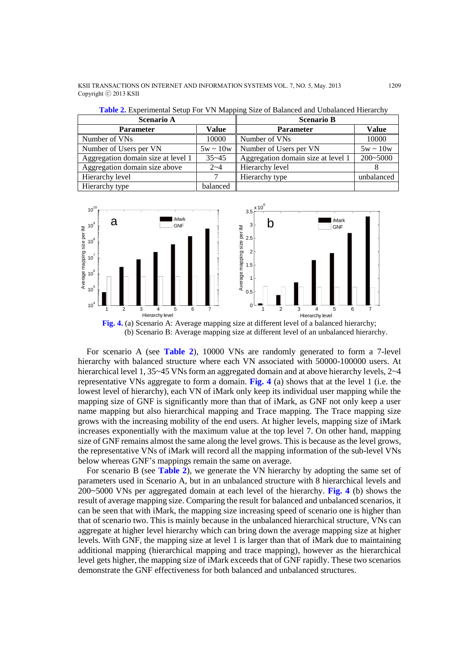KSII TRANSACTIONS ON INTERNET AND INFORMATION SYSTEMS VOL. 7, NO. 5, May. 2013 1209 Copyright ⓒ 2013 KSII

| <b>Scenario A</b>                  |               | <b>Scenario B</b>                  |               |
|------------------------------------|---------------|------------------------------------|---------------|
| <b>Parameter</b>                   | Value         | <b>Parameter</b>                   | <b>Value</b>  |
| Number of VNs                      | 10000         | Number of VNs                      | 10000         |
| Number of Users per VN             | $5w \sim 10w$ | Number of Users per VN             | $5w \sim 10w$ |
| Aggregation domain size at level 1 | $35 - 45$     | Aggregation domain size at level 1 | $200 - 5000$  |
| Aggregation domain size above      | $2 - 4$       | Hierarchy level                    |               |
| Hierarchy level                    |               | Hierarchy type                     | unbalanced    |
| Hierarchy type                     | balanced      |                                    |               |

**Table 2.** Experimental Setup For VN Mapping Size of Balanced and Unbalanced Hierarchy



(b) Scenario B: Average mapping size at different level of an unbalanced hierarchy.

For scenario A (see **Table 2**), 10000 VNs are randomly generated to form a 7-level hierarchy with balanced structure where each VN associated with 50000-100000 users. At hierarchical level 1, 35~45 VNs form an aggregated domain and at above hierarchy levels, 2~4 representative VNs aggregate to form a domain. **Fig. 4** (a) shows that at the level 1 (i.e. the lowest level of hierarchy), each VN of iMark only keep its individual user mapping while the mapping size of GNF is significantly more than that of iMark, as GNF not only keep a user name mapping but also hierarchical mapping and Trace mapping. The Trace mapping size grows with the increasing mobility of the end users. At higher levels, mapping size of iMark increases exponentially with the maximum value at the top level 7. On other hand, mapping size of GNF remains almost the same along the level grows. This is because as the level grows, the representative VNs of iMark will record all the mapping information of the sub-level VNs below whereas GNF's mappings remain the same on average.

For scenario B (see **Table 2**), we generate the VN hierarchy by adopting the same set of parameters used in Scenario A, but in an unbalanced structure with 8 hierarchical levels and 200~5000 VNs per aggregated domain at each level of the hierarchy. **Fig. 4** (b) shows the result of average mapping size. Comparing the result for balanced and unbalanced scenarios, it can be seen that with iMark, the mapping size increasing speed of scenario one is higher than that of scenario two. This is mainly because in the unbalanced hierarchical structure, VNs can aggregate at higher level hierarchy which can bring down the average mapping size at higher levels. With GNF, the mapping size at level 1 is larger than that of iMark due to maintaining additional mapping (hierarchical mapping and trace mapping), however as the hierarchical level gets higher, the mapping size of iMark exceeds that of GNF rapidly. These two scenarios demonstrate the GNF effectiveness for both balanced and unbalanced structures.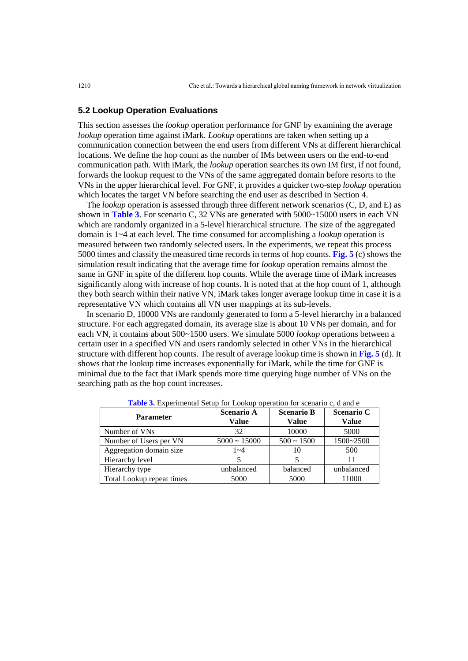## **5.2 Lookup Operation Evaluations**

This section assesses the *lookup* operation performance for GNF by examining the average *lookup* operation time against iMark. *Lookup* operations are taken when setting up a communication connection between the end users from different VNs at different hierarchical locations. We define the hop count as the number of IMs between users on the end-to-end communication path. With iMark, the *lookup* operation searches its own IM first, if not found, forwards the lookup request to the VNs of the same aggregated domain before resorts to the VNs in the upper hierarchical level. For GNF, it provides a quicker two-step *lookup* operation which locates the target VN before searching the end user as described in Section 4.

The *lookup* operation is assessed through three different network scenarios (C, D, and E) as shown in **Table 3**. For scenario C, 32 VNs are generated with 5000~15000 users in each VN which are randomly organized in a 5-level hierarchical structure. The size of the aggregated domain is 1~4 at each level. The time consumed for accomplishing a *lookup* operation is measured between two randomly selected users. In the experiments, we repeat this process 5000 times and classify the measured time records in terms of hop counts. **Fig. 5** (c) shows the simulation result indicating that the average time for *lookup* operation remains almost the same in GNF in spite of the different hop counts. While the average time of iMark increases significantly along with increase of hop counts. It is noted that at the hop count of 1, although they both search within their native VN, iMark takes longer average lookup time in case it is a representative VN which contains all VN user mappings at its sub-levels.

In scenario D, 10000 VNs are randomly generated to form a 5-level hierarchy in a balanced structure. For each aggregated domain, its average size is about 10 VNs per domain, and for each VN, it contains about 500~1500 users. We simulate 5000 *lookup* operations between a certain user in a specified VN and users randomly selected in other VNs in the hierarchical structure with different hop counts. The result of average lookup time is shown in **Fig. 5** (d). It shows that the lookup time increases exponentially for iMark, while the time for GNF is minimal due to the fact that iMark spends more time querying huge number of VNs on the searching path as the hop count increases.

| <b>Parameter</b>          | <b>Scenario A</b><br>Value | <b>Scenario B</b><br><b>Value</b> | <b>Scenario C</b><br><b>Value</b> |
|---------------------------|----------------------------|-----------------------------------|-----------------------------------|
| Number of VNs             | 32                         | 10000                             | 5000                              |
| Number of Users per VN    | $5000 \sim 15000$          | $500 \sim 1500$                   | $1500 - 2500$                     |
| Aggregation domain size   | $1 - 4$                    | 10                                | 500                               |
| Hierarchy level           |                            |                                   |                                   |
| Hierarchy type            | unbalanced                 | balanced                          | unbalanced                        |
| Total Lookup repeat times | 5000                       | 5000                              | 11000                             |

**Table 3.** Experimental Setup for Lookup operation for scenario c, d and e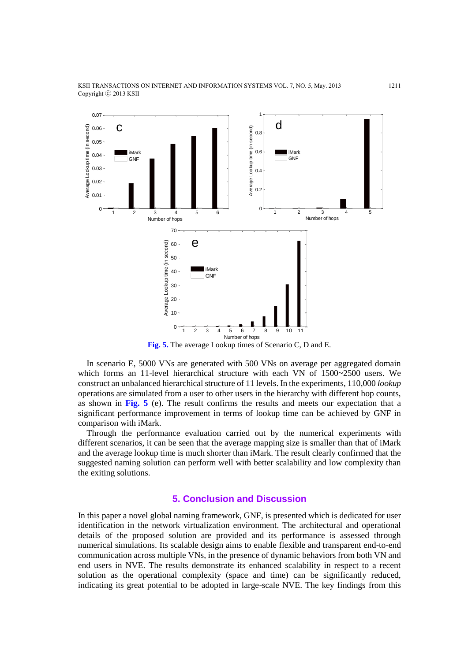

**Fig. 5.** The average Lookup times of Scenario C, D and E.

In scenario E, 5000 VNs are generated with 500 VNs on average per aggregated domain which forms an 11-level hierarchical structure with each VN of 1500~2500 users. We construct an unbalanced hierarchical structure of 11 levels. In the experiments, 110,000 *lookup* operations are simulated from a user to other users in the hierarchy with different hop counts, as shown in **Fig. 5** (e). The result confirms the results and meets our expectation that a significant performance improvement in terms of lookup time can be achieved by GNF in comparison with iMark.

Through the performance evaluation carried out by the numerical experiments with different scenarios, it can be seen that the average mapping size is smaller than that of iMark and the average lookup time is much shorter than iMark. The result clearly confirmed that the suggested naming solution can perform well with better scalability and low complexity than the exiting solutions.

# **5. Conclusion and Discussion**

In this paper a novel global naming framework, GNF, is presented which is dedicated for user identification in the network virtualization environment. The architectural and operational details of the proposed solution are provided and its performance is assessed through numerical simulations. Its scalable design aims to enable flexible and transparent end-to-end communication across multiple VNs, in the presence of dynamic behaviors from both VN and end users in NVE. The results demonstrate its enhanced scalability in respect to a recent solution as the operational complexity (space and time) can be significantly reduced, indicating its great potential to be adopted in large-scale NVE. The key findings from this